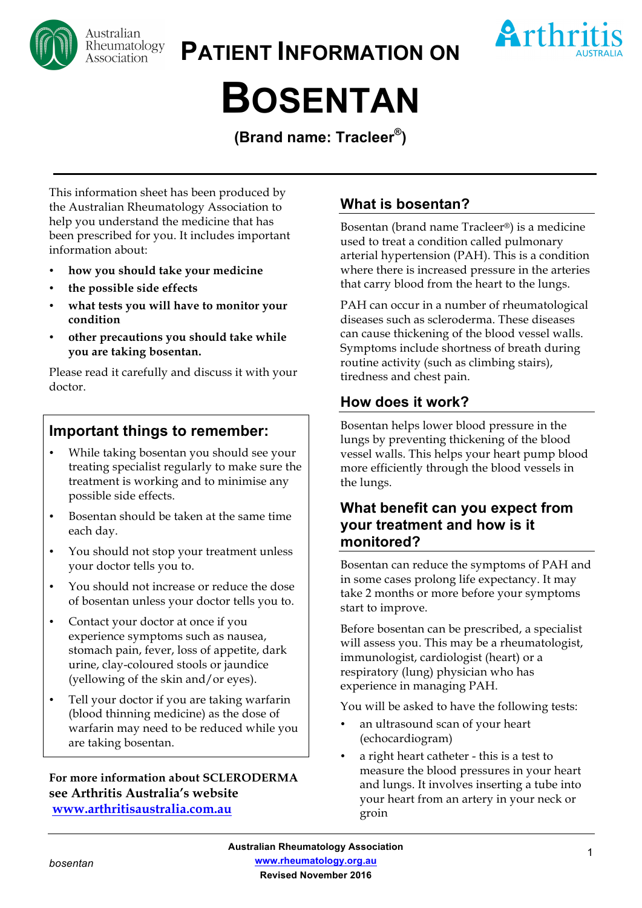

**PATIENT INFORMATION ON**



# **BOSENTAN**

**(Brand name: Tracleer®)**

This information sheet has been produced by the Australian Rheumatology Association to help you understand the medicine that has been prescribed for you. It includes important information about:

- **how you should take your medicine**
- **the possible side effects**
- **what tests you will have to monitor your condition**
- **other precautions you should take while you are taking bosentan.**

Please read it carefully and discuss it with your doctor.

# **Important things to remember:**

- While taking bosentan you should see your treating specialist regularly to make sure the treatment is working and to minimise any possible side effects.
- Bosentan should be taken at the same time each day.
- You should not stop your treatment unless your doctor tells you to.
- You should not increase or reduce the dose of bosentan unless your doctor tells you to.
- Contact your doctor at once if you experience symptoms such as nausea, stomach pain, fever, loss of appetite, dark urine, clay-coloured stools or jaundice (yellowing of the skin and/or eyes).
- Tell your doctor if you are taking warfarin (blood thinning medicine) as the dose of warfarin may need to be reduced while you are taking bosentan.

**For more information about SCLERODERMA see Arthritis Australia's website www.arthritisaustralia.com.au**

## **What is bosentan?**

Bosentan (brand name Tracleer®) is a medicine used to treat a condition called pulmonary arterial hypertension (PAH). This is a condition where there is increased pressure in the arteries that carry blood from the heart to the lungs.

PAH can occur in a number of rheumatological diseases such as scleroderma. These diseases can cause thickening of the blood vessel walls. Symptoms include shortness of breath during routine activity (such as climbing stairs), tiredness and chest pain.

## **How does it work?**

Bosentan helps lower blood pressure in the lungs by preventing thickening of the blood vessel walls. This helps your heart pump blood more efficiently through the blood vessels in the lungs.

## **What benefit can you expect from your treatment and how is it monitored?**

Bosentan can reduce the symptoms of PAH and in some cases prolong life expectancy. It may take 2 months or more before your symptoms start to improve.

Before bosentan can be prescribed, a specialist will assess you. This may be a rheumatologist, immunologist, cardiologist (heart) or a respiratory (lung) physician who has experience in managing PAH.

You will be asked to have the following tests:

- an ultrasound scan of your heart (echocardiogram)
- a right heart catheter this is a test to measure the blood pressures in your heart and lungs. It involves inserting a tube into your heart from an artery in your neck or groin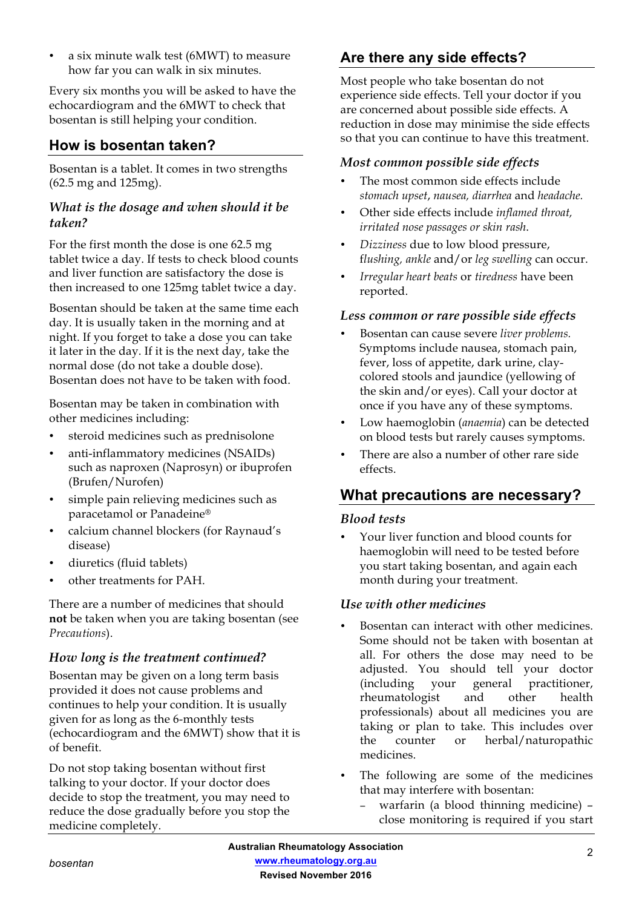• a six minute walk test (6MWT) to measure how far you can walk in six minutes.

Every six months you will be asked to have the echocardiogram and the 6MWT to check that bosentan is still helping your condition.

# **How is bosentan taken?**

Bosentan is a tablet. It comes in two strengths (62.5 mg and 125mg).

#### *What is the dosage and when should it be taken?*

For the first month the dose is one 62.5 mg tablet twice a day. If tests to check blood counts and liver function are satisfactory the dose is then increased to one 125mg tablet twice a day.

Bosentan should be taken at the same time each day. It is usually taken in the morning and at night. If you forget to take a dose you can take it later in the day. If it is the next day, take the normal dose (do not take a double dose). Bosentan does not have to be taken with food.

Bosentan may be taken in combination with other medicines including:

- steroid medicines such as prednisolone
- anti-inflammatory medicines (NSAIDs) such as naproxen (Naprosyn) or ibuprofen (Brufen/Nurofen)
- simple pain relieving medicines such as paracetamol or Panadeine®
- calcium channel blockers (for Raynaud's disease)
- diuretics (fluid tablets)
- other treatments for PAH.

There are a number of medicines that should **not** be taken when you are taking bosentan (see *Precautions*).

### *How long is the treatment continued?*

Bosentan may be given on a long term basis provided it does not cause problems and continues to help your condition. It is usually given for as long as the 6-monthly tests (echocardiogram and the 6MWT) show that it is of benefit.

Do not stop taking bosentan without first talking to your doctor. If your doctor does decide to stop the treatment, you may need to reduce the dose gradually before you stop the medicine completely.

# **Are there any side effects?**

Most people who take bosentan do not experience side effects. Tell your doctor if you are concerned about possible side effects. A reduction in dose may minimise the side effects so that you can continue to have this treatment.

#### *Most common possible side effects*

- The most common side effects include *stomach upset*, *nausea, diarrhea* and *headache.*
- Other side effects include *inflamed throat, irritated nose passages or skin rash*.
- *Dizziness* due to low blood pressure, f*lushing, ankle* and/or *leg swelling* can occur.
- *Irregular heart beats* or *tiredness* have been reported.

#### *Less common or rare possible side effects*

- Bosentan can cause severe *liver problems.* Symptoms include nausea, stomach pain, fever, loss of appetite, dark urine, claycolored stools and jaundice (yellowing of the skin and/or eyes). Call your doctor at once if you have any of these symptoms.
- Low haemoglobin (*anaemia*) can be detected on blood tests but rarely causes symptoms.
- There are also a number of other rare side effects.

# **What precautions are necessary?**

#### *Blood tests*

• Your liver function and blood counts for haemoglobin will need to be tested before you start taking bosentan, and again each month during your treatment.

#### *Use with other medicines*

- Bosentan can interact with other medicines. Some should not be taken with bosentan at all. For others the dose may need to be adjusted. You should tell your doctor (including your general practitioner, rheumatologist and other health professionals) about all medicines you are taking or plan to take. This includes over the counter or herbal/naturopathic medicines.
- The following are some of the medicines that may interfere with bosentan:
	- − warfarin (a blood thinning medicine) close monitoring is required if you start